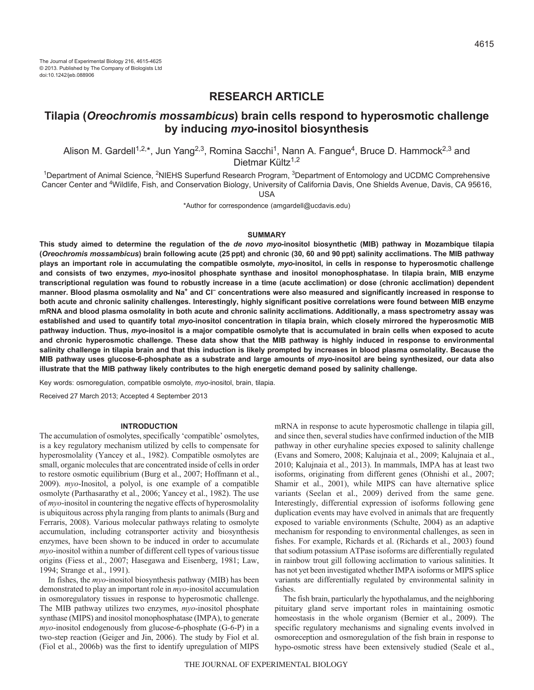# **RESEARCH ARTICLE**

# **Tilapia (***Oreochromis mossambicus***) brain cells respond to hyperosmotic challenge by inducing** *myo***-inositol biosynthesis**

Alison M. Gardell<sup>1,2,\*</sup>, Jun Yang<sup>2,3</sup>, Romina Sacchi<sup>1</sup>, Nann A. Fangue<sup>4</sup>, Bruce D. Hammock<sup>2,3</sup> and Dietmar Kültz $1,2$ 

1Department of Animal Science, 2NIEHS Superfund Research Program, 3Department of Entomology and UCDMC Comprehensive Cancer Center and 4Wildlife, Fish, and Conservation Biology, University of California Davis, One Shields Avenue, Davis, CA 95616,

USA

\*Author for correspondence (amgardell@ucdavis.edu)

## **SUMMARY**

**This study aimed to determine the regulation of the** *de novo myo***-inositol biosynthetic (MIB) pathway in Mozambique tilapia (***Oreochromis mossambicus***) brain following acute (25 ppt) and chronic (30, 60 and 90 ppt) salinity acclimations. The MIB pathway plays an important role in accumulating the compatible osmolyte,** *myo***-inositol, in cells in response to hyperosmotic challenge and consists of two enzymes,** *myo***-inositol phosphate synthase and inositol monophosphatase. In tilapia brain, MIB enzyme transcriptional regulation was found to robustly increase in a time (acute acclimation) or dose (chronic acclimation) dependent manner. Blood plasma osmolality and Na+ and Cl– concentrations were also measured and significantly increased in response to both acute and chronic salinity challenges. Interestingly, highly significant positive correlations were found between MIB enzyme mRNA and blood plasma osmolality in both acute and chronic salinity acclimations. Additionally, a mass spectrometry assay was established and used to quantify total** *myo***-inositol concentration in tilapia brain, which closely mirrored the hyperosmotic MIB pathway induction. Thus,** *myo***-inositol is a major compatible osmolyte that is accumulated in brain cells when exposed to acute and chronic hyperosmotic challenge. These data show that the MIB pathway is highly induced in response to environmental salinity challenge in tilapia brain and that this induction is likely prompted by increases in blood plasma osmolality. Because the MIB pathway uses glucose-6-phosphate as a substrate and large amounts of** *myo***-inositol are being synthesized, our data also illustrate that the MIB pathway likely contributes to the high energetic demand posed by salinity challenge.**

Key words: osmoregulation, compatible osmolyte, *myo*-inositol, brain, tilapia.

Received 27 March 2013; Accepted 4 September 2013

#### **INTRODUCTION**

The accumulation of osmolytes, specifically 'compatible' osmolytes, is a key regulatory mechanism utilized by cells to compensate for hyperosmolality (Yancey et al., 1982). Compatible osmolytes are small, organic molecules that are concentrated inside of cells in order to restore osmotic equilibrium (Burg et al., 2007; Hoffmann et al., 2009). *myo*-Inositol, a polyol, is one example of a compatible osmolyte (Parthasarathy et al., 2006; Yancey et al., 1982). The use of *myo*-inositol in countering the negative effects of hyperosmolality is ubiquitous across phyla ranging from plants to animals (Burg and Ferraris, 2008). Various molecular pathways relating to osmolyte accumulation, including cotransporter activity and biosynthesis enzymes, have been shown to be induced in order to accumulate *myo*-inositol within a number of different cell types of various tissue origins (Fiess et al., 2007; Hasegawa and Eisenberg, 1981; Law, 1994; Strange et al., 1991).

In fishes, the *myo*-inositol biosynthesis pathway (MIB) has been demonstrated to play an important role in *myo*-inositol accumulation in osmoregulatory tissues in response to hyperosmotic challenge. The MIB pathway utilizes two enzymes, *myo*-inositol phosphate synthase (MIPS) and inositol monophosphatase (IMPA), to generate *myo*-inositol endogenously from glucose-6-phosphate (G-6-P) in a two-step reaction (Geiger and Jin, 2006). The study by Fiol et al. (Fiol et al., 2006b) was the first to identify upregulation of MIPS mRNA in response to acute hyperosmotic challenge in tilapia gill, and since then, several studies have confirmed induction of the MIB pathway in other euryhaline species exposed to salinity challenge (Evans and Somero, 2008; Kalujnaia et al., 2009; Kalujnaia et al., 2010; Kalujnaia et al., 2013). In mammals, IMPA has at least two isoforms, originating from different genes (Ohnishi et al., 2007; Shamir et al., 2001), while MIPS can have alternative splice variants (Seelan et al., 2009) derived from the same gene. Interestingly, differential expression of isoforms following gene duplication events may have evolved in animals that are frequently exposed to variable environments (Schulte, 2004) as an adaptive mechanism for responding to environmental challenges, as seen in fishes. For example, Richards et al. (Richards et al., 2003) found that sodium potassium ATPase isoforms are differentially regulated in rainbow trout gill following acclimation to various salinities. It has not yet been investigated whether IMPA isoforms or MIPS splice variants are differentially regulated by environmental salinity in fishes.

The fish brain, particularly the hypothalamus, and the neighboring pituitary gland serve important roles in maintaining osmotic homeostasis in the whole organism (Bernier et al., 2009). The specific regulatory mechanisms and signaling events involved in osmoreception and osmoregulation of the fish brain in response to hypo-osmotic stress have been extensively studied (Seale et al.,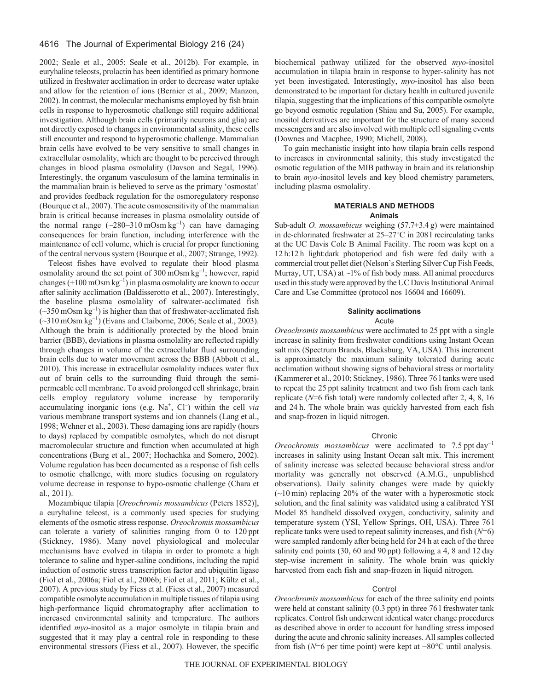# 4616 The Journal of Experimental Biology 216 (24)

2002; Seale et al., 2005; Seale et al., 2012b). For example, in euryhaline teleosts, prolactin has been identified as primary hormone utilized in freshwater acclimation in order to decrease water uptake and allow for the retention of ions (Bernier et al., 2009; Manzon, 2002). In contrast, the molecular mechanisms employed by fish brain cells in response to hyperosmotic challenge still require additional investigation. Although brain cells (primarily neurons and glia) are not directly exposed to changes in environmental salinity, these cells still encounter and respond to hyperosmotic challenge. Mammalian brain cells have evolved to be very sensitive to small changes in extracellular osmolality, which are thought to be perceived through changes in blood plasma osmolality (Davson and Segal, 1996). Interestingly, the organum vasculosum of the lamina terminalis in the mammalian brain is believed to serve as the primary 'osmostat' and provides feedback regulation for the osmoregulatory response (Bourque et al., 2007). The acute osmosensitivity of the mammalian brain is critical because increases in plasma osmolality outside of the normal range  $(\sim 280 - 310 \text{ mOsm kg}^{-1})$  can have damaging consequences for brain function, including interference with the maintenance of cell volume, which is crucial for proper functioning of the central nervous system (Bourque et al., 2007; Strange, 1992).

Teleost fishes have evolved to regulate their blood plasma osmolality around the set point of 300 mOsm  $kg^{-1}$ ; however, rapid changes  $(+100 \text{ mOsm kg}^{-1})$  in plasma osmolality are known to occur after salinity acclimation (Baldisserotto et al., 2007). Interestingly, the baseline plasma osmolality of saltwater-acclimated fish  $(\sim]350 \text{ mOsm kg}^{-1}$ ) is higher than that of freshwater-acclimated fish  $(-310 \text{ mOsm kg}^{-1})$  (Evans and Claiborne, 2006; Seale et al., 2003). Although the brain is additionally protected by the blood–brain barrier (BBB), deviations in plasma osmolality are reflected rapidly through changes in volume of the extracellular fluid surrounding brain cells due to water movement across the BBB (Abbott et al., 2010). This increase in extracellular osmolality induces water flux out of brain cells to the surrounding fluid through the semipermeable cell membrane. To avoid prolonged cell shrinkage, brain cells employ regulatory volume increase by temporarily accumulating inorganic ions (e.g.  $Na<sup>+</sup>$ , Cl<sup>-</sup>) within the cell *via* various membrane transport systems and ion channels (Lang et al., 1998; Wehner et al., 2003). These damaging ions are rapidly (hours to days) replaced by compatible osmolytes, which do not disrupt macromolecular structure and function when accumulated at high concentrations (Burg et al., 2007; Hochachka and Somero, 2002). Volume regulation has been documented as a response of fish cells to osmotic challenge, with more studies focusing on regulatory volume decrease in response to hypo-osmotic challenge (Chara et al., 2011).

Mozambique tilapia [*Oreochromis mossambicus* (Peters 1852)], a euryhaline teleost, is a commonly used species for studying elements of the osmotic stress response. *Oreochromis mossambicus* can tolerate a variety of salinities ranging from 0 to 120 ppt (Stickney, 1986). Many novel physiological and molecular mechanisms have evolved in tilapia in order to promote a high tolerance to saline and hyper-saline conditions, including the rapid induction of osmotic stress transcription factor and ubiquitin ligase (Fiol et al., 2006a; Fiol et al., 2006b; Fiol et al., 2011; Kültz et al., 2007). A previous study by Fiess et al. (Fiess et al., 2007) measured compatible osmolyte accumulation in multiple tissues of tilapia using high-performance liquid chromatography after acclimation to increased environmental salinity and temperature. The authors identified *myo*-inositol as a major osmolyte in tilapia brain and suggested that it may play a central role in responding to these environmental stressors (Fiess et al., 2007). However, the specific biochemical pathway utilized for the observed *myo*-inositol accumulation in tilapia brain in response to hyper-salinity has not yet been investigated. Interestingly, *myo*-inositol has also been demonstrated to be important for dietary health in cultured juvenile tilapia, suggesting that the implications of this compatible osmolyte go beyond osmotic regulation (Shiau and Su, 2005). For example, inositol derivatives are important for the structure of many second messengers and are also involved with multiple cell signaling events (Downes and Macphee, 1990; Michell, 2008).

To gain mechanistic insight into how tilapia brain cells respond to increases in environmental salinity, this study investigated the osmotic regulation of the MIB pathway in brain and its relationship to brain *myo*-inositol levels and key blood chemistry parameters, including plasma osmolality.

## **MATERIALS AND METHODS Animals**

Sub-adult *O. mossambicus* weighing (57.7±3.4 g) were maintained in de-chlorinated freshwater at 25–27°C in 208 l recirculating tanks at the UC Davis Cole B Animal Facility. The room was kept on a 12 h:12 h light:dark photoperiod and fish were fed daily with a commercial trout pellet diet (Nelson's Sterling Silver Cup Fish Feeds, Murray, UT, USA) at  $\sim$ 1% of fish body mass. All animal procedures used in this study were approved by the UC Davis Institutional Animal Care and Use Committee (protocol nos 16604 and 16609).

# **Salinity acclimations** Acute

*Oreochromis mossambicus* were acclimated to 25 ppt with a single increase in salinity from freshwater conditions using Instant Ocean salt mix (Spectrum Brands, Blacksburg, VA, USA). This increment is approximately the maximum salinity tolerated during acute acclimation without showing signs of behavioral stress or mortality (Kammerer et al., 2010; Stickney, 1986). Three 76 l tanks were used to repeat the 25 ppt salinity treatment and two fish from each tank replicate (*N*=6 fish total) were randomly collected after 2, 4, 8, 16 and 24 h. The whole brain was quickly harvested from each fish and snap-frozen in liquid nitrogen.

#### Chronic

*Oreochromis mossambicus* were acclimated to 7.5 ppt day<sup>-1</sup> increases in salinity using Instant Ocean salt mix. This increment of salinity increase was selected because behavioral stress and/or mortality was generally not observed (A.M.G., unpublished observations). Daily salinity changes were made by quickly  $(-10 \text{ min})$  replacing 20% of the water with a hyperosmotic stock solution, and the final salinity was validated using a calibrated YSI Model 85 handheld dissolved oxygen, conductivity, salinity and temperature system (YSI, Yellow Springs, OH, USA). Three 76 l replicate tanks were used to repeat salinity increases, and fish (*N*=6) were sampled randomly after being held for 24 h at each of the three salinity end points (30, 60 and 90 ppt) following a 4, 8 and 12 day step-wise increment in salinity. The whole brain was quickly harvested from each fish and snap-frozen in liquid nitrogen.

#### **Control**

*Oreochromis mossambicus* for each of the three salinity end points were held at constant salinity (0.3 ppt) in three 76 l freshwater tank replicates. Control fish underwent identical water change procedures as described above in order to account for handling stress imposed during the acute and chronic salinity increases. All samples collected from fish (*N*=6 per time point) were kept at −80°C until analysis.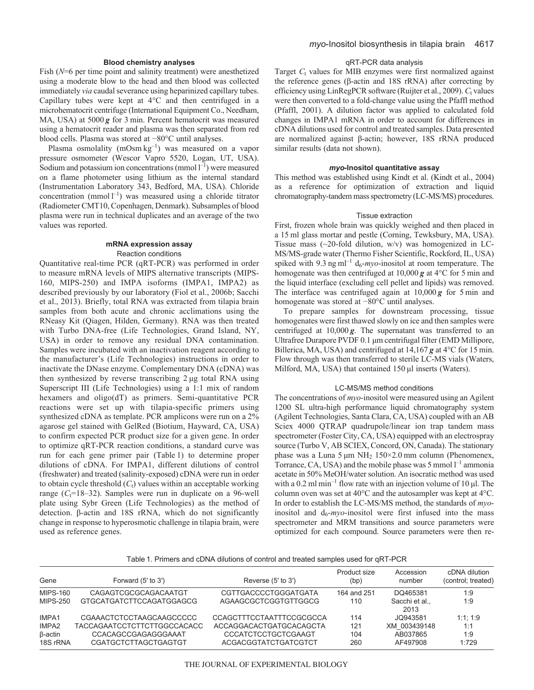# **Blood chemistry analyses**

Fish ( $N=6$  per time point and salinity treatment) were anesthetized using a moderate blow to the head and then blood was collected immediately *via* caudal severance using heparinized capillary tubes. Capillary tubes were kept at 4°C and then centrifuged in a microhematocrit centrifuge (International Equipment Co., Needham, MA, USA) at 5000 *g* for 3 min. Percent hematocrit was measured using a hematocrit reader and plasma was then separated from red blood cells. Plasma was stored at −80°C until analyses.

Plasma osmolality (mOsm kg<sup>-1</sup>) was measured on a vapor pressure osmometer (Wescor Vapro 5520, Logan, UT, USA). Sodium and potassium ion concentrations (mmol  $1^{-1}$ ) were measured on a flame photometer using lithium as the internal standard (Instrumentation Laboratory 343, Bedford, MA, USA). Chloride concentration (mmol  $l^{-1}$ ) was measured using a chloride titrator (Radiometer CMT10, Copenhagen, Denmark). Subsamples of blood plasma were run in technical duplicates and an average of the two values was reported.

# **mRNA expression assay** Reaction conditions

Quantitative real-time PCR (qRT-PCR) was performed in order to measure mRNA levels of MIPS alternative transcripts (MIPS-160, MIPS-250) and IMPA isoforms (IMPA1, IMPA2) as described previously by our laboratory (Fiol et al., 2006b; Sacchi et al., 2013). Briefly, total RNA was extracted from tilapia brain samples from both acute and chronic acclimations using the RNeasy Kit (Qiagen, Hilden, Germany). RNA was then treated with Turbo DNA-free (Life Technologies, Grand Island, NY, USA) in order to remove any residual DNA contamination. Samples were incubated with an inactivation reagent according to the manufacturer's (Life Technologies) instructions in order to inactivate the DNase enzyme. Complementary DNA (cDNA) was then synthesized by reverse transcribing 2 μg total RNA using Superscript III (Life Technologies) using a 1:1 mix of random hexamers and oligo(dT) as primers. Semi-quantitative PCR reactions were set up with tilapia-specific primers using synthesized cDNA as template. PCR amplicons were run on a 2% agarose gel stained with GelRed (Biotium, Hayward, CA, USA) to confirm expected PCR product size for a given gene. In order to optimize qRT-PCR reaction conditions, a standard curve was run for each gene primer pair (Table 1) to determine proper dilutions of cDNA. For IMPA1, different dilutions of control (freshwater) and treated (salinity-exposed) cDNA were run in order to obtain cycle threshold (*C*t) values within an acceptable working range  $(C_f=18-32)$ . Samples were run in duplicate on a 96-well plate using Sybr Green (Life Technologies) as the method of detection. β-actin and 18S rRNA, which do not significantly change in response to hyperosmotic challenge in tilapia brain, were used as reference genes.

# qRT-PCR data analysis

Target *C*<sub>t</sub> values for MIB enzymes were first normalized against the reference genes (β-actin and 18S rRNA) after correcting by efficiency using LinRegPCR software (Ruijter et al., 2009). *C*<sub>t</sub> values were then converted to a fold-change value using the Pfaffl method (Pfaffl, 2001). A dilution factor was applied to calculated fold changes in IMPA1 mRNA in order to account for differences in cDNA dilutions used for control and treated samples. Data presented are normalized against β-actin; however, 18S rRNA produced similar results (data not shown).

## *myo***-Inositol quantitative assay**

This method was established using Kindt et al. (Kindt et al., 2004) as a reference for optimization of extraction and liquid chromatography-tandem mass spectrometry (LC-MS/MS) procedures.

#### Tissue extraction

First, frozen whole brain was quickly weighed and then placed in a 15 ml glass mortar and pestle (Corning, Tewksbury, MA, USA). Tissue mass ( $\sim$ 20-fold dilution, w/v) was homogenized in LC-MS/MS-grade water (Thermo Fisher Scientific, Rockford, IL, USA) spiked with 9.3 ng ml<sup>-1</sup>  $d_6$ -*myo*-inositol at room temperature. The homogenate was then centrifuged at 10,000 *g* at 4°C for 5 min and the liquid interface (excluding cell pellet and lipids) was removed. The interface was centrifuged again at 10,000 *g* for 5 min and homogenate was stored at −80°C until analyses.

To prepare samples for downstream processing, tissue homogenates were first thawed slowly on ice and then samples were centrifuged at 10,000 *g*. The supernatant was transferred to an Ultrafree Durapore PVDF 0.1 μm centrifugal filter (EMD Millipore, Billerica, MA, USA) and centrifuged at 14,167 *g* at 4°C for 15 min. Flow through was then transferred to sterile LC-MS vials (Waters, Milford, MA, USA) that contained 150 μl inserts (Waters).

#### LC-MS/MS method conditions

The concentrations of *myo*-inositol were measured using an Agilent 1200 SL ultra-high performance liquid chromatography system (Agilent Technologies, Santa Clara, CA, USA) coupled with an AB Sciex 4000 QTRAP quadrupole/linear ion trap tandem mass spectrometer (Foster City, CA, USA) equipped with an electrospray source (Turbo V, AB SCIEX, Concord, ON, Canada). The stationary phase was a Luna  $5 \mu m NH_2 150 \times 2.0 \text{ mm}$  column (Phenomenex, Torrance, CA, USA) and the mobile phase was 5 mmol  $l^{-1}$  ammonia acetate in 50% MeOH/water solution. An isocratic method was used with a 0.2 ml min<sup>-1</sup> flow rate with an injection volume of 10  $\mu$ l. The column oven was set at 40°C and the autosampler was kept at 4°C. In order to establish the LC-MS/MS method, the standards of *myo*inositol and  $d_6$ -*myo*-inositol were first infused into the mass spectrometer and MRM transitions and source parameters were optimized for each compound. Source parameters were then re-

| Gene                | Forward (5' to 3')                          | Reverse (5' to 3')                                 | Product size<br>(bp) | Accession<br>number  | cDNA dilution<br>(control; treated) |
|---------------------|---------------------------------------------|----------------------------------------------------|----------------------|----------------------|-------------------------------------|
| <b>MIPS-160</b>     | CAGAGTCGCGCAGACAATGT                        | CGTTGACCCCTGGGATGATA                               | 164 and 251          | DO465381             | 1:9                                 |
| <b>MIPS-250</b>     | GTGCATGATCTTCCAGATGGAGCG                    | AGAAGCGCTCGGTGTTGGCG                               | 110                  | Sacchi et al<br>2013 | 1:9                                 |
| IMPA1               | CGAAACTCTCCTAAGCAAGCCCCC                    | <b>CCAGCTTTCCTAATTTCCGCGCCA</b>                    | 114                  | JO943581             | 1:1:1:9                             |
| IMPA2               | TACCAGAATCCTCTTCTTGGCCACACC                 | ACCAGGACACTGATGCACAGCTA                            | 121                  | XM 003439148         | 1:1                                 |
| β-actin<br>18S rRNA | CCACAGCCGAGAGGGAAAT<br>CGATGCTCTTAGCTGAGTGT | <b>CCCATCTCCTGCTCGAAGT</b><br>ACGACGGTATCTGATCGTCT | 104<br>260           | AB037865<br>AF497908 | 1:9<br>1:729                        |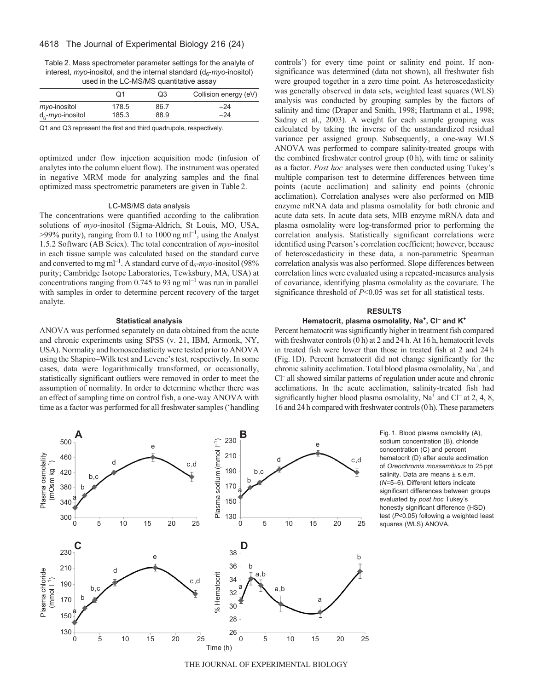# 4618 The Journal of Experimental Biology 216 (24)

Table 2. Mass spectrometer parameter settings for the analyte of interest, *myo*-inositol, and the internal standard (d<sub>6</sub>-myo-inositol) used in the LC-MS/MS quantitative assay

|                                                                   | O1             | Q3           | Collision energy (eV) |
|-------------------------------------------------------------------|----------------|--------------|-----------------------|
| $mv$ o-inositol<br>$d_{\epsilon}$ - <i>myo</i> -inositol          | 178.5<br>185.3 | 86.7<br>88.9 | -24<br>-24            |
| Q1 and Q3 represent the first and third quadrupole, respectively. |                |              |                       |

optimized under flow injection acquisition mode (infusion of analytes into the column eluent flow). The instrument was operated in negative MRM mode for analyzing samples and the final optimized mass spectrometric parameters are given in Table 2.

### LC-MS/MS data analysis

The concentrations were quantified according to the calibration solutions of *myo*-inositol (Sigma-Aldrich, St Louis, MO, USA,  $>99\%$  purity), ranging from 0.1 to 1000 ng ml<sup>-1</sup>, using the Analyst 1.5.2 Software (AB Sciex). The total concentration of *myo*-inositol in each tissue sample was calculated based on the standard curve and converted to mg ml<sup>-1</sup>. A standard curve of  $d_6$ -*myo*-inositol (98% purity; Cambridge Isotope Laboratories, Tewksbury, MA, USA) at concentrations ranging from 0.745 to 93 ng m $l^{-1}$  was run in parallel with samples in order to determine percent recovery of the target analyte.

#### **Statistical analysis**

ANOVA was performed separately on data obtained from the acute and chronic experiments using SPSS (v. 21, IBM, Armonk, NY, USA). Normality and homoscedasticity were tested prior to ANOVA using the Shapiro–Wilk test and Levene's test, respectively. In some cases, data were logarithmically transformed, or occasionally, statistically significant outliers were removed in order to meet the assumption of normality. In order to determine whether there was an effect of sampling time on control fish, a one-way ANOVA with time as a factor was performed for all freshwater samples ('handling controls') for every time point or salinity end point. If nonsignificance was determined (data not shown), all freshwater fish were grouped together in a zero time point. As heteroscedasticity was generally observed in data sets, weighted least squares (WLS) analysis was conducted by grouping samples by the factors of salinity and time (Draper and Smith, 1998; Hartmann et al., 1998; Sadray et al., 2003). A weight for each sample grouping was calculated by taking the inverse of the unstandardized residual variance per assigned group. Subsequently, a one-way WLS ANOVA was performed to compare salinity-treated groups with the combined freshwater control group (0 h), with time or salinity as a factor. *Post hoc* analyses were then conducted using Tukey's multiple comparison test to determine differences between time points (acute acclimation) and salinity end points (chronic acclimation). Correlation analyses were also performed on MIB enzyme mRNA data and plasma osmolality for both chronic and acute data sets. In acute data sets, MIB enzyme mRNA data and plasma osmolality were log-transformed prior to performing the correlation analysis. Statistically significant correlations were identified using Pearson's correlation coefficient; however, because of heteroscedasticity in these data, a non-parametric Spearman correlation analysis was also performed. Slope differences between correlation lines were evaluated using a repeated-measures analysis of covariance, identifying plasma osmolality as the covariate. The significance threshold of *P*<0.05 was set for all statistical tests.

#### **RESULTS**

# Hematocrit, plasma osmolality, Na<sup>+</sup>, Cl<sup>-</sup> and K<sup>+</sup>

Percent hematocrit was significantly higher in treatment fish compared with freshwater controls (0 h) at 2 and 24 h. At 16 h, hematocrit levels in treated fish were lower than those in treated fish at 2 and 24 h (Fig. 1D). Percent hematocrit did not change significantly for the chronic salinity acclimation. Total blood plasma osmolality, Na<sup>+</sup>, and Cl– all showed similar patterns of regulation under acute and chronic acclimations. In the acute acclimation, salinity-treated fish had significantly higher blood plasma osmolality,  $Na^+$  and  $Cl^-$  at 2, 4, 8, 16 and 24 h compared with freshwater controls (0 h). These parameters



Fig. 1. Blood plasma osmolality (A), sodium concentration (B), chloride concentration (C) and percent hematocrit (D) after acute acclimation of *Oreochromis mossambicus* to 25 ppt salinity. Data are means ± s.e.m. (*N*=5–6). Different letters indicate significant differences between groups evaluated by *post hoc* Tukey's honestly significant difference (HSD) test (*P*<0.05) following a weighted least squares (WLS) ANOVA.

THE JOURNAL OF EXPERIMENTAL BIOLOGY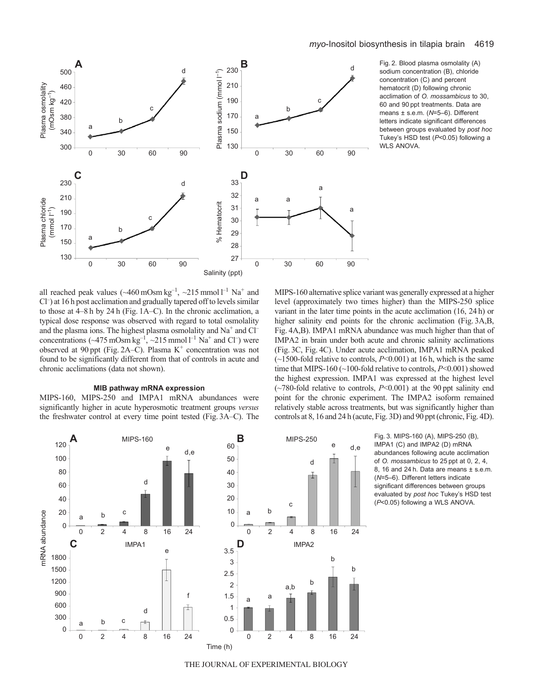

Fig. 2. Blood plasma osmolality (A) sodium concentration (B), chloride concentration (C) and percent hematocrit (D) following chronic acclimation of *O. mossambicus* to 30, 60 and 90 ppt treatments. Data are means ± s.e.m. (*N*=5–6). Different letters indicate significant differences between groups evaluated by *post hoc* Tukey's HSD test (*P*<0.05) following a WLS ANOVA.

all reached peak values ( $\sim$ 460 mOsm kg<sup>-1</sup>,  $\sim$ 215 mmol l<sup>-1</sup> Na<sup>+</sup> and Cl– ) at 16 h post acclimation and gradually tapered off to levels similar to those at 4–8 h by 24 h (Fig. 1A–C). In the chronic acclimation, a typical dose response was observed with regard to total osmolality and the plasma ions. The highest plasma osmolality and  $Na<sup>+</sup>$  and  $Cl$ concentrations ( $\sim$ 475 mOsm kg<sup>-1</sup>,  $\sim$ 215 mmol l<sup>-1</sup> Na<sup>+</sup> and Cl<sup>-</sup>) were observed at 90 ppt (Fig. 2A–C). Plasma  $K^+$  concentration was not found to be significantly different from that of controls in acute and chronic acclimations (data not shown).

# **MIB pathway mRNA expression**

MIPS-160, MIPS-250 and IMPA1 mRNA abundances were significantly higher in acute hyperosmotic treatment groups *versus* the freshwater control at every time point tested (Fig. 3A–C). The MIPS-160 alternative splice variant was generally expressed at a higher level (approximately two times higher) than the MIPS-250 splice variant in the later time points in the acute acclimation (16, 24 h) or higher salinity end points for the chronic acclimation (Fig. 3A,B, Fig. 4A,B). IMPA1 mRNA abundance was much higher than that of IMPA2 in brain under both acute and chronic salinity acclimations (Fig. 3C, Fig. 4C). Under acute acclimation, IMPA1 mRNA peaked (~1500-fold relative to controls, *P*<0.001) at 16 h, which is the same time that MIPS-160 (~100-fold relative to controls, *P*<0.001) showed the highest expression. IMPA1 was expressed at the highest level  $(\sim 780$ -fold relative to controls,  $P<0.001$ ) at the 90 ppt salinity end point for the chronic experiment. The IMPA2 isoform remained relatively stable across treatments, but was significantly higher than controls at 8, 16 and 24 h (acute, Fig. 3D) and 90 ppt (chronic, Fig. 4D).



Fig. 3. MIPS-160 (A), MIPS-250 (B), IMPA1 (C) and IMPA2 (D) mRNA abundances following acute acclimation of *O. mossambicus* to 25 ppt at 0, 2, 4, 8, 16 and 24 h. Data are means ± s.e.m. (*N*=5–6). Different letters indicate significant differences between groups evaluated by *post hoc* Tukey's HSD test (*P*<0.05) following a WLS ANOVA.

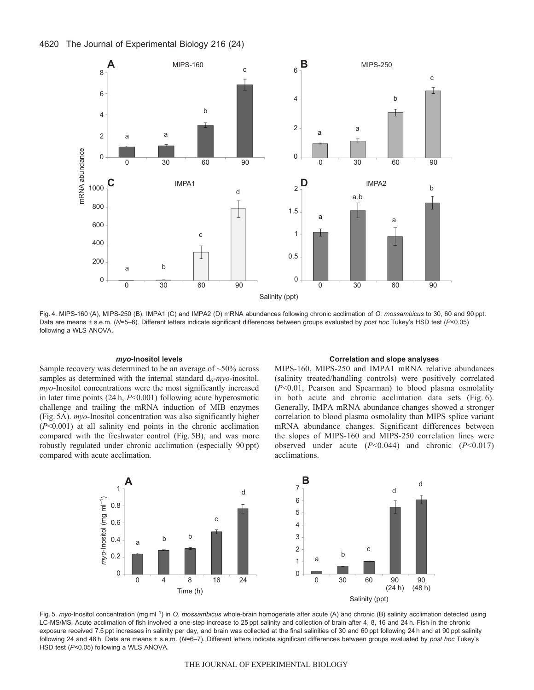

Fig. 4. MIPS-160 (A), MIPS-250 (B), IMPA1 (C) and IMPA2 (D) mRNA abundances following chronic acclimation of *O. mossambicus* to 30, 60 and 90 ppt. Data are means ± s.e.m. (*N*=5–6). Different letters indicate significant differences between groups evaluated by *post hoc* Tukey's HSD test (*P*<0.05) following a WLS ANOVA.

# *myo***-Inositol levels**

Sample recovery was determined to be an average of ~50% across samples as determined with the internal standard  $d_6$ -*myo*-inositol. *myo*-Inositol concentrations were the most significantly increased in later time points (24 h, *P*<0.001) following acute hyperosmotic challenge and trailing the mRNA induction of MIB enzymes (Fig. 5A). *myo*-Inositol concentration was also significantly higher (*P*<0.001) at all salinity end points in the chronic acclimation compared with the freshwater control (Fig. 5B), and was more robustly regulated under chronic acclimation (especially 90 ppt) compared with acute acclimation.

# **Correlation and slope analyses**

MIPS-160, MIPS-250 and IMPA1 mRNA relative abundances (salinity treated/handling controls) were positively correlated (*P*<0.01, Pearson and Spearman) to blood plasma osmolality in both acute and chronic acclimation data sets (Fig. 6). Generally, IMPA mRNA abundance changes showed a stronger correlation to blood plasma osmolality than MIPS splice variant mRNA abundance changes. Significant differences between the slopes of MIPS-160 and MIPS-250 correlation lines were observed under acute (*P*<0.044) and chronic (*P*<0.017) acclimations.



Fig. 5. *myo*-Inositol concentration (mg ml<sup>-1</sup>) in *O. mossambicus* whole-brain homogenate after acute (A) and chronic (B) salinity acclimation detected using LC-MS/MS. Acute acclimation of fish involved a one-step increase to 25 ppt salinity and collection of brain after 4, 8, 16 and 24 h. Fish in the chronic exposure received 7.5 ppt increases in salinity per day, and brain was collected at the final salinities of 30 and 60 ppt following 24 h and at 90 ppt salinity following 24 and 48 h. Data are means ± s.e.m. (*N*=6–7). Different letters indicate significant differences between groups evaluated by *post hoc* Tukey's HSD test (*P*<0.05) following a WLS ANOVA.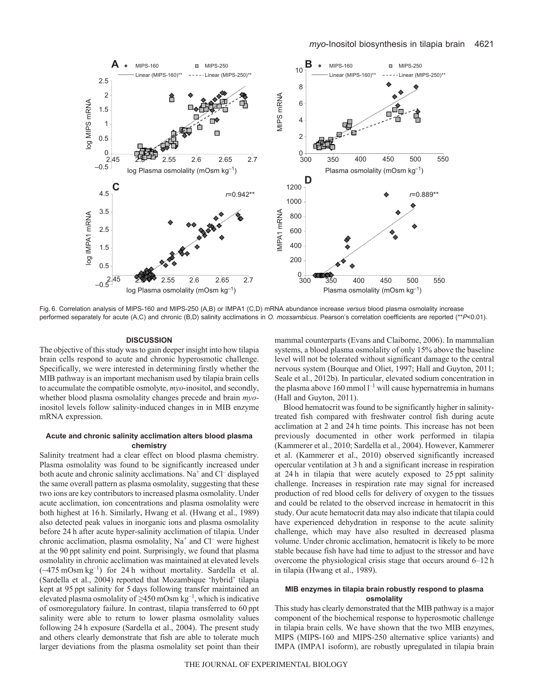

Fig. 6. Correlation analysis of MIPS-160 and MIPS-250 (A,B) or IMPA1 (C,D) mRNA abundance increase *versus* blood plasma osmolality increase performed separately for acute (A,C) and chronic (B,D) salinity acclimations in *O. mossambicus*. Pearson's correlation coefficients are reported (\*\**P*<0.01).

#### **DISCUSSION**

The objective of this study was to gain deeper insight into how tilapia brain cells respond to acute and chronic hyperosmotic challenge. Specifically, we were interested in determining firstly whether the MIB pathway is an important mechanism used by tilapia brain cells to accumulate the compatible osmolyte, *myo*-inositol, and secondly, whether blood plasma osmolality changes precede and brain *myo*inositol levels follow salinity-induced changes in in MIB enzyme mRNA expression.

## **Acute and chronic salinity acclimation alters blood plasma chemistry**

Salinity treatment had a clear effect on blood plasma chemistry. Plasma osmolality was found to be significantly increased under both acute and chronic salinity acclimations. Na<sup>+</sup> and Cl<sup>-</sup> displayed the same overall pattern as plasma osmolality, suggesting that these two ions are key contributors to increased plasma osmolality. Under acute acclimation, ion concentrations and plasma osmolality were both highest at 16 h. Similarly, Hwang et al. (Hwang et al., 1989) also detected peak values in inorganic ions and plasma osmolality before 24 h after acute hyper-salinity acclimation of tilapia. Under chronic acclimation, plasma osmolality,  $Na<sup>+</sup>$  and  $Cl<sup>-</sup>$  were highest at the 90 ppt salinity end point. Surprisingly, we found that plasma osmolality in chronic acclimation was maintained at elevated levels  $(\sim 475 \text{ mOsm kg}^{-1})$  for 24 h without mortality. Sardella et al. (Sardella et al., 2004) reported that Mozambique 'hybrid' tilapia kept at 95 ppt salinity for 5 days following transfer maintained an elevated plasma osmolality of  $\geq$ 450 mOsm kg<sup>-1</sup>, which is indicative of osmoregulatory failure. In contrast, tilapia transferred to 60 ppt salinity were able to return to lower plasma osmolality values following 24 h exposure (Sardella et al., 2004). The present study and others clearly demonstrate that fish are able to tolerate much larger deviations from the plasma osmolality set point than their mammal counterparts (Evans and Claiborne, 2006). In mammalian systems, a blood plasma osmolality of only 15% above the baseline level will not be tolerated without significant damage to the central nervous system (Bourque and Oliet, 1997; Hall and Guyton, 2011; Seale et al., 2012b). In particular, elevated sodium concentration in the plasma above 160 mmol  $l^{-1}$  will cause hypernatremia in humans (Hall and Guyton, 2011).

Blood hematocrit was found to be significantly higher in salinitytreated fish compared with freshwater control fish during acute acclimation at 2 and 24 h time points. This increase has not been previously documented in other work performed in tilapia (Kammerer et al., 2010; Sardella et al., 2004). However, Kammerer et al. (Kammerer et al., 2010) observed significantly increased opercular ventilation at 3 h and a significant increase in respiration at 24 h in tilapia that were acutely exposed to 25 ppt salinity challenge. Increases in respiration rate may signal for increased production of red blood cells for delivery of oxygen to the tissues and could be related to the observed increase in hematocrit in this study. Our acute hematocrit data may also indicate that tilapia could have experienced dehydration in response to the acute salinity challenge, which may have also resulted in decreased plasma volume. Under chronic acclimation, hematocrit is likely to be more stable because fish have had time to adjust to the stressor and have overcome the physiological crisis stage that occurs around 6–12 h in tilapia (Hwang et al., 1989).

# **MIB enzymes in tilapia brain robustly respond to plasma osmolality**

This study has clearly demonstrated that the MIB pathway is a major component of the biochemical response to hyperosmotic challenge in tilapia brain cells. We have shown that the two MIB enzymes, MIPS (MIPS-160 and MIPS-250 alternative splice variants) and IMPA (IMPA1 isoform), are robustly upregulated in tilapia brain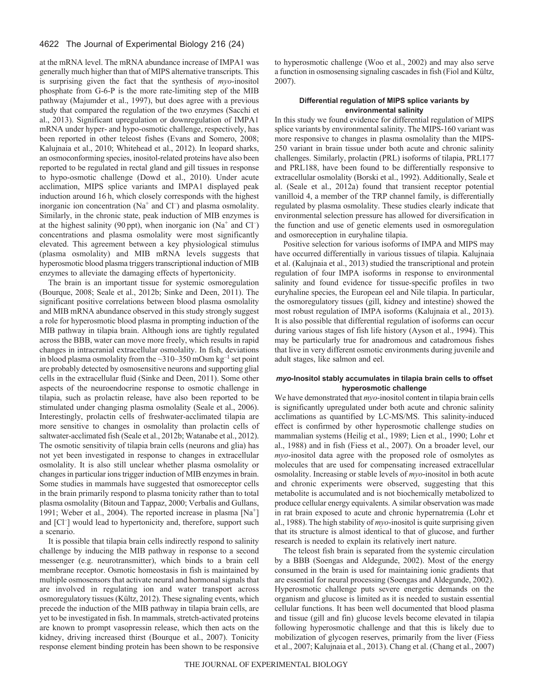at the mRNA level. The mRNA abundance increase of IMPA1 was generally much higher than that of MIPS alternative transcripts. This is surprising given the fact that the synthesis of *myo*-inositol phosphate from G-6-P is the more rate-limiting step of the MIB pathway (Majumder et al., 1997), but does agree with a previous study that compared the regulation of the two enzymes (Sacchi et al., 2013). Significant upregulation or downregulation of IMPA1 mRNA under hyper- and hypo-osmotic challenge, respectively, has been reported in other teleost fishes (Evans and Somero, 2008; Kalujnaia et al., 2010; Whitehead et al., 2012). In leopard sharks, an osmoconforming species, inositol-related proteins have also been reported to be regulated in rectal gland and gill tissues in response to hypo-osmotic challenge (Dowd et al., 2010). Under acute acclimation, MIPS splice variants and IMPA1 displayed peak induction around 16 h, which closely corresponds with the highest inorganic ion concentration ( $Na<sup>+</sup>$  and  $Cl<sup>-</sup>$ ) and plasma osmolality. Similarly, in the chronic state, peak induction of MIB enzymes is at the highest salinity (90 ppt), when inorganic ion  $(Na<sup>+</sup>$  and Cl<sup>-</sup>) concentrations and plasma osmolality were most significantly elevated. This agreement between a key physiological stimulus (plasma osmolality) and MIB mRNA levels suggests that hyperosmotic blood plasma triggers transcriptional induction of MIB enzymes to alleviate the damaging effects of hypertonicity.

The brain is an important tissue for systemic osmoregulation (Bourque, 2008; Seale et al., 2012b; Sinke and Deen, 2011). The significant positive correlations between blood plasma osmolality and MIB mRNA abundance observed in this study strongly suggest a role for hyperosmotic blood plasma in prompting induction of the MIB pathway in tilapia brain. Although ions are tightly regulated across the BBB, water can move more freely, which results in rapid changes in intracranial extracellular osmolality. In fish, deviations in blood plasma osmolality from the  $\sim$ 310–350 mOsm kg<sup>-1</sup> set point are probably detected by osmosensitive neurons and supporting glial cells in the extracellular fluid (Sinke and Deen, 2011). Some other aspects of the neuroendocrine response to osmotic challenge in tilapia, such as prolactin release, have also been reported to be stimulated under changing plasma osmolality (Seale et al., 2006). Interestingly, prolactin cells of freshwater-acclimated tilapia are more sensitive to changes in osmolality than prolactin cells of saltwater-acclimated fish (Seale et al., 2012b; Watanabe et al., 2012). The osmotic sensitivity of tilapia brain cells (neurons and glia) has not yet been investigated in response to changes in extracellular osmolality. It is also still unclear whether plasma osmolality or changes in particular ions trigger induction of MIB enzymes in brain. Some studies in mammals have suggested that osmoreceptor cells in the brain primarily respond to plasma tonicity rather than to total plasma osmolality (Bitoun and Tappaz, 2000; Verbalis and Gullans, 1991; Weber et al., 2004). The reported increase in plasma  $[Na^+]$ and [Cl– ] would lead to hypertonicity and, therefore, support such a scenario.

It is possible that tilapia brain cells indirectly respond to salinity challenge by inducing the MIB pathway in response to a second messenger (e.g. neurotransmitter), which binds to a brain cell membrane receptor. Osmotic homeostasis in fish is maintained by multiple osmosensors that activate neural and hormonal signals that are involved in regulating ion and water transport across osmoregulatory tissues (Kültz, 2012). These signaling events, which precede the induction of the MIB pathway in tilapia brain cells, are yet to be investigated in fish. In mammals, stretch-activated proteins are known to prompt vasopressin release, which then acts on the kidney, driving increased thirst (Bourque et al., 2007). Tonicity response element binding protein has been shown to be responsive

to hyperosmotic challenge (Woo et al., 2002) and may also serve a function in osmosensing signaling cascades in fish (Fiol and Kültz, 2007).

# **Differential regulation of MIPS splice variants by environmental salinity**

In this study we found evidence for differential regulation of MIPS splice variants by environmental salinity. The MIPS-160 variant was more responsive to changes in plasma osmolality than the MIPS-250 variant in brain tissue under both acute and chronic salinity challenges. Similarly, prolactin (PRL) isoforms of tilapia, PRL177 and PRL188, have been found to be differentially responsive to extracellular osmolality (Borski et al., 1992). Additionally, Seale et al. (Seale et al., 2012a) found that transient receptor potential vanilloid 4, a member of the TRP channel family, is differentially regulated by plasma osmolality. These studies clearly indicate that environmental selection pressure has allowed for diversification in the function and use of genetic elements used in osmoregulation and osmoreception in euryhaline tilapia.

Positive selection for various isoforms of IMPA and MIPS may have occurred differentially in various tissues of tilapia. Kalujnaia et al. (Kalujnaia et al., 2013) studied the transcriptional and protein regulation of four IMPA isoforms in response to environmental salinity and found evidence for tissue-specific profiles in two euryhaline species, the European eel and Nile tilapia. In particular, the osmoregulatory tissues (gill, kidney and intestine) showed the most robust regulation of IMPA isoforms (Kalujnaia et al., 2013). It is also possible that differential regulation of isoforms can occur during various stages of fish life history (Ayson et al., 1994). This may be particularly true for anadromous and catadromous fishes that live in very different osmotic environments during juvenile and adult stages, like salmon and eel.

# *myo***-Inositol stably accumulates in tilapia brain cells to offset hyperosmotic challenge**

We have demonstrated that *myo*-inositol content in tilapia brain cells is significantly upregulated under both acute and chronic salinity acclimations as quantified by LC-MS/MS. This salinity-induced effect is confirmed by other hyperosmotic challenge studies on mammalian systems (Heilig et al., 1989; Lien et al., 1990; Lohr et al., 1988) and in fish (Fiess et al., 2007). On a broader level, our *myo*-inositol data agree with the proposed role of osmolytes as molecules that are used for compensating increased extracellular osmolality. Increasing or stable levels of *myo*-inositol in both acute and chronic experiments were observed, suggesting that this metabolite is accumulated and is not biochemically metabolized to produce cellular energy equivalents. A similar observation was made in rat brain exposed to acute and chronic hypernatremia (Lohr et al., 1988). The high stability of *myo*-inositol is quite surprising given that its structure is almost identical to that of glucose, and further research is needed to explain its relatively inert nature.

The teleost fish brain is separated from the systemic circulation by a BBB (Soengas and Aldegunde, 2002). Most of the energy consumed in the brain is used for maintaining ionic gradients that are essential for neural processing (Soengas and Aldegunde, 2002). Hyperosmotic challenge puts severe energetic demands on the organism and glucose is limited as it is needed to sustain essential cellular functions. It has been well documented that blood plasma and tissue (gill and fin) glucose levels become elevated in tilapia following hyperosmotic challenge and that this is likely due to mobilization of glycogen reserves, primarily from the liver (Fiess et al., 2007; Kalujnaia et al., 2013). Chang et al. (Chang et al., 2007)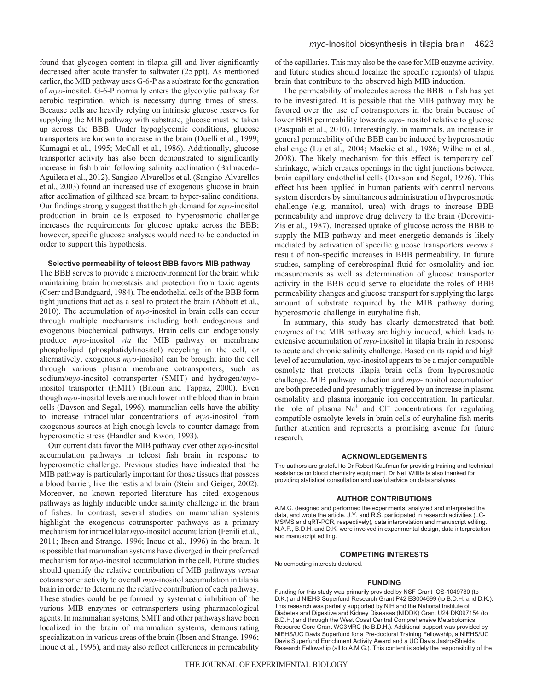found that glycogen content in tilapia gill and liver significantly decreased after acute transfer to saltwater (25 ppt). As mentioned earlier, the MIB pathway uses G-6-P as a substrate for the generation of *myo*-inositol. G-6-P normally enters the glycolytic pathway for aerobic respiration, which is necessary during times of stress. Because cells are heavily relying on intrinsic glucose reserves for supplying the MIB pathway with substrate, glucose must be taken up across the BBB. Under hypoglycemic conditions, glucose transporters are known to increase in the brain (Duelli et al., 1999; Kumagai et al., 1995; McCall et al., 1986). Additionally, glucose transporter activity has also been demonstrated to significantly increase in fish brain following salinity acclimation (Balmaceda-Aguilera et al., 2012). Sangiao-Alvarellos et al. (Sangiao-Alvarellos et al., 2003) found an increased use of exogenous glucose in brain after acclimation of gilthead sea bream to hyper-saline conditions. Our findings strongly suggest that the high demand for *myo*-inositol production in brain cells exposed to hyperosmotic challenge increases the requirements for glucose uptake across the BBB; however, specific glucose analyses would need to be conducted in order to support this hypothesis.

#### **Selective permeability of teleost BBB favors MIB pathway**

The BBB serves to provide a microenvironment for the brain while maintaining brain homeostasis and protection from toxic agents (Cserr and Bundgaard, 1984). The endothelial cells of the BBB form tight junctions that act as a seal to protect the brain (Abbott et al., 2010). The accumulation of *myo*-inositol in brain cells can occur through multiple mechanisms including both endogenous and exogenous biochemical pathways. Brain cells can endogenously produce *myo*-inositol *via* the MIB pathway or membrane phospholipid (phosphatidylinositol) recycling in the cell, or alternatively, exogenous *myo*-inositol can be brought into the cell through various plasma membrane cotransporters, such as sodium/*myo*-inositol cotransporter (SMIT) and hydrogen/*myo*inositol transporter (HMIT) (Bitoun and Tappaz, 2000). Even though *myo*-inositol levels are much lower in the blood than in brain cells (Davson and Segal, 1996), mammalian cells have the ability to increase intracellular concentrations of *myo*-inositol from exogenous sources at high enough levels to counter damage from hyperosmotic stress (Handler and Kwon, 1993).

Our current data favor the MIB pathway over other *myo*-inositol accumulation pathways in teleost fish brain in response to hyperosmotic challenge. Previous studies have indicated that the MIB pathway is particularly important for those tissues that possess a blood barrier, like the testis and brain (Stein and Geiger, 2002). Moreover, no known reported literature has cited exogenous pathways as highly inducible under salinity challenge in the brain of fishes. In contrast, several studies on mammalian systems highlight the exogenous cotransporter pathways as a primary mechanism for intracellular *myo*-inositol accumulation (Fenili et al., 2011; Ibsen and Strange, 1996; Inoue et al., 1996) in the brain. It is possible that mammalian systems have diverged in their preferred mechanism for *myo*-inositol accumulation in the cell. Future studies should quantify the relative contribution of MIB pathways *versus* cotransporter activity to overall *myo*-inositol accumulation in tilapia brain in order to determine the relative contribution of each pathway. These studies could be performed by systematic inhibition of the various MIB enzymes or cotransporters using pharmacological agents. In mammalian systems, SMIT and other pathways have been localized in the brain of mammalian systems, demonstrating specialization in various areas of the brain (Ibsen and Strange, 1996; Inoue et al., 1996), and may also reflect differences in permeability

of the capillaries. This may also be the case for MIB enzyme activity, and future studies should localize the specific region(s) of tilapia brain that contribute to the observed high MIB induction.

The permeability of molecules across the BBB in fish has yet to be investigated. It is possible that the MIB pathway may be favored over the use of cotransporters in the brain because of lower BBB permeability towards *myo*-inositol relative to glucose (Pasquali et al., 2010). Interestingly, in mammals, an increase in general permeability of the BBB can be induced by hyperosmotic challenge (Lu et al., 2004; Mackie et al., 1986; Wilhelm et al., 2008). The likely mechanism for this effect is temporary cell shrinkage, which creates openings in the tight junctions between brain capillary endothelial cells (Davson and Segal, 1996). This effect has been applied in human patients with central nervous system disorders by simultaneous administration of hyperosmotic challenge (e.g. mannitol, urea) with drugs to increase BBB permeability and improve drug delivery to the brain (Dorovini-Zis et al., 1987). Increased uptake of glucose across the BBB to supply the MIB pathway and meet energetic demands is likely mediated by activation of specific glucose transporters *versus* a result of non-specific increases in BBB permeability. In future studies, sampling of cerebrospinal fluid for osmolality and ion measurements as well as determination of glucose transporter activity in the BBB could serve to elucidate the roles of BBB permeability changes and glucose transport for supplying the large amount of substrate required by the MIB pathway during hyperosmotic challenge in euryhaline fish.

In summary, this study has clearly demonstrated that both enzymes of the MIB pathway are highly induced, which leads to extensive accumulation of *myo*-inositol in tilapia brain in response to acute and chronic salinity challenge. Based on its rapid and high level of accumulation, *myo*-inositol appears to be a major compatible osmolyte that protects tilapia brain cells from hyperosmotic challenge. MIB pathway induction and *myo*-inositol accumulation are both preceded and presumably triggered by an increase in plasma osmolality and plasma inorganic ion concentration. In particular, the role of plasma  $Na<sup>+</sup>$  and  $Cl<sup>-</sup>$  concentrations for regulating compatible osmolyte levels in brain cells of euryhaline fish merits further attention and represents a promising avenue for future research.

#### **ACKNOWLEDGEMENTS**

The authors are grateful to Dr Robert Kaufman for providing training and technical assistance on blood chemistry equipment. Dr Neil Willits is also thanked for providing statistical consultation and useful advice on data analyses.

#### **AUTHOR CONTRIBUTIONS**

A.M.G. designed and performed the experiments, analyzed and interpreted the data, and wrote the article. J.Y. and R.S. participated in research activities (LC-MS/MS and qRT-PCR, respectively), data interpretation and manuscript editing. N.A.F., B.D.H. and D.K. were involved in experimental design, data interpretation and manuscript editing.

# **COMPETING INTERESTS**

No competing interests declared.

#### **FUNDING**

Funding for this study was primarily provided by NSF Grant IOS-1049780 (to D.K.) and NIEHS Superfund Research Grant P42 ES004699 (to B.D.H. and D.K.). This research was partially supported by NIH and the National Institute of Diabetes and Digestive and Kidney Diseases (NIDDK) Grant U24 DK097154 (to B.D.H.) and through the West Coast Central Comprehensive Metabolomics Resource Core Grant WC3MRC (to B.D.H.). Additional support was provided by NIEHS/UC Davis Superfund for a Pre-doctoral Training Fellowship, a NIEHS/UC Davis Superfund Enrichment Activity Award and a UC Davis Jastro-Shields Research Fellowship (all to A.M.G.). This content is solely the responsibility of the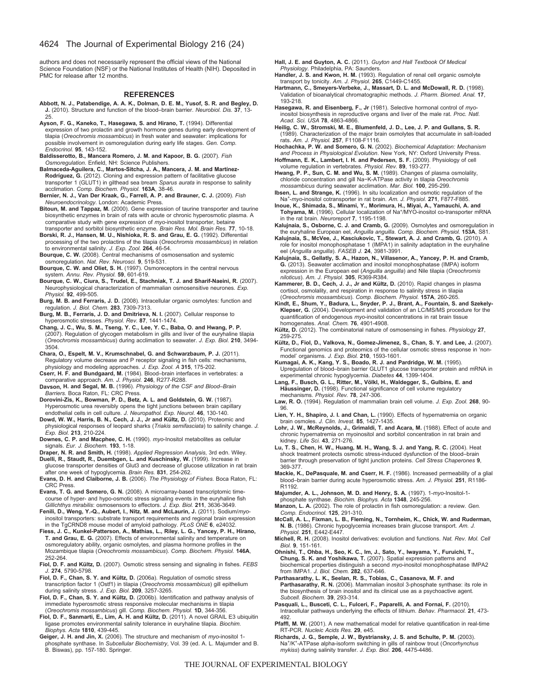authors and does not necessarily represent the official views of the National Science Foundation (NSF) or the National Institutes of Health (NIH). Deposited in PMC for release after 12 months.

#### **REFERENCES**

- **Abbott, N. J., Patabendige, A. A. K., Dolman, D. E. M., Yusof, S. R. and Begley, D. J.** (2010). Structure and function of the blood–brain barrier. *Neurobiol. Dis.* **37**, 13- 25.
- **Ayson, F. G., Kaneko, T., Hasegawa, S. and Hirano, T.** (1994). Differential expression of two prolactin and growth hormone genes during early development of tilapia (*Oreochromis mossambicus*) in fresh water and seawater: implications for possible involvement in osmoregulation during early life stages. *Gen. Comp. Endocrinol.* **95**, 143-152.
- **Baldisserotto, B., Mancera Romero, J. M. and Kapoor, B. G.** (2007). *Fish Osmoregulation*. Enfield, NH: Science Publishers.
- **Balmaceda-Aguilera, C., Martos-Sitcha, J. A., Mancera, J. M. and Martínez-Rodríguez, G.** (2012). Cloning and expression pattern of facilitative glucose transporter 1 (GLUT1) in gilthead sea bream *Sparus aurata* in response to salinity acclimation. *Comp. Biochem. Physiol.* **163A**, 38-46.
- **Bernier, N. J., Van Der Kraak, G., Farrell, A. P. and Brauner, C. J.** (2009). *Fish Neuroendocrinology*. London: Academic Press.
- **Bitoun, M. and Tappaz, M.** (2000). Gene expression of taurine transporter and taurine biosynthetic enzymes in brain of rats with acute or chronic hyperosmotic plasma. A comparative study with gene expression of *myo*-inositol transporter, betaine transporter and sorbitol biosynthetic enzyme. *Brain Res. Mol. Brain Res.* **77**, 10-18.
- **Borski, R. J., Hansen, M. U., Nishioka, R. S. and Grau, E. G.** (1992). Differential processing of the two prolactins of the tilapia (*Oreochromis mossambicus*) in relation to environmental salinity. *J. Exp. Zool.* **264**, 46-54.
- **Bourque, C. W.** (2008). Central mechanisms of osmosensation and systemic osmoregulation. *Nat. Rev. Neurosci.* **9**, 519-531.
- **Bourque, C. W. and Oliet, S. H.** (1997). Osmoreceptors in the central nervous system. *Annu. Rev. Physiol.* **59**, 601-619.
- **Bourque, C. W., Ciura, S., Trudel, E., Stachniak, T. J. and Sharif-Naeini, R.** (2007). Neurophysiological characterization of mammalian osmosensitive neurones. *Exp. Physiol.* **92**, 499-505.
- **Burg, M. B. and Ferraris, J. D.** (2008). Intracellular organic osmolytes: function and regulation. *J. Biol. Chem.* **283**, 7309-7313.
- **Burg, M. B., Ferraris, J. D. and Dmitrieva, N. I.** (2007). Cellular response to hyperosmotic stresses. *Physiol. Rev.* **87**, 1441-1474. **Chang, J. C., Wu, S. M., Tseng, Y. C., Lee, Y. C., Baba, O. and Hwang, P. P.**
- (2007). Regulation of glycogen metabolism in gills and liver of the euryhaline tilapia (*Oreochromis mossambicus*) during acclimation to seawater. *J. Exp. Biol.* **210**, 3494- 3504.
- **Chara, O., Espelt, M. V., Krumschnabel, G. and Schwarzbaum, P. J.** (2011). Regulatory volume decrease and P receptor signaling in fish cells: mechanisms, physiology and modeling approaches. *J. Exp. Zool. A* **315**, 175-202.
- **Cserr, H. F. and Bundgaard, M.** (1984). Blood–brain interfaces in vertebrates: a comparative approach. *Am. J. Physiol.* **246**, R277-R288.
- **Davson, H. and Segal, M. B.** (1996). *Physiology of the CSF and Blood–Brain Barriers*. Boca Raton, FL: CRC Press.
- **Dorovini-Zis, K., Bowman, P. D., Betz, A. L. and Goldstein, G. W.** (1987). Hyperosmotic urea reversibly opens the tight junctions between brain capillary endothelial cells in cell culture. *J. Neuropathol. Exp. Neurol.* **46**, 130-140.
- **Dowd, W. W., Harris, B. N., Cech, J. J., Jr and Kültz, D.** (2010). Proteomic and physiological responses of leopard sharks (*Triakis semifasciata*) to salinity change. *J. Exp. Biol.* **213**, 210-224.
- **Downes, C. P. and Macphee, C. H.** (1990). *myo*-Inositol metabolites as cellular signals. *Eur. J. Biochem.* **193**, 1-18.
- **Draper, N. R. and Smith, H.** (1998). *Applied Regression Analysis*, 3rd edn. Wiley.
- **Duelli, R., Staudt, R., Duembgen, L. and Kuschinsky, W.** (1999). Increase in glucose transporter densities of Glut3 and decrease of glucose utilization in rat brain after one week of hypoglycemia. *Brain Res.* **831**, 254-262.
- **Evans, D. H. and Claiborne, J. B.** (2006). *The Physiology of Fishes*. Boca Raton, FL: CRC Press.
- **Evans, T. G. and Somero, G. N.** (2008). A microarray-based transcriptomic timecourse of hyper- and hypo-osmotic stress signaling events in the euryhaline fish *Gillichthys mirabilis*: osmosensors to effectors. *J. Exp. Biol.* **211**, 3636-3649.
- **Fenili, D., Weng, Y.-Q., Aubert, I., Nitz, M. and McLaurin, J.** (2011). Sodium/*myo*inositol transporters: substrate transport requirements and regional brain expression in the TgCRND8 mouse model of amyloid pathology. *PLoS ONE* **6**, e24032.
- **Fiess, J. C., Kunkel-Patterson, A., Mathias, L., Riley, L. G., Yancey, P. H., Hirano, T. and Grau, E. G.** (2007). Effects of environmental salinity and temperature on osmoregulatory ability, organic osmolytes, and plasma hormone profiles in the Mozambique tilapia (*Oreochromis mossambicus*). *Comp. Biochem. Physiol.* **146A**, 252-264.
- **Fiol, D. F. and Kültz, D.** (2007). Osmotic stress sensing and signaling in fishes. *FEBS J.* **274**, 5790-5798.
- **Fiol, D. F., Chan, S. Y. and Kültz, D.** (2006a). Regulation of osmotic stress transcription factor 1 (Ostf1) in tilapia (*Oreochromis mossambicus*) gill epithelium during salinity stress. *J. Exp. Biol.* **209**, 3257-3265.
- **Fiol, D. F., Chan, S. Y. and Kültz, D.** (2006b). Identification and pathway analysis of immediate hyperosmotic stress responsive molecular mechanisms in tilapia (*Oreochromis mossambicus*) gill. *Comp. Biochem. Physiol.* **1D**, 344-356.
- **Fiol, D. F., Sanmarti, E., Lim, A. H. and Kültz, D.** (2011). A novel GRAIL E3 ubiquitin ligase promotes environmental salinity tolerance in euryhaline tilapia. *Biochim. Biophys. Acta* **1810**, 439-445.
- **Geiger, J. H. and Jin, X.** (2006). The structure and mechanism of *myo*-inositol 1 phosphate synthase. In *Subcellular Biochemistry*, Vol. 39 (ed. A. L. Majumder and B. B. Biswas), pp. 157-180. Springer.
- **Hall, J. E. and Guyton, A. C.** (2011). *Guyton and Hall Textbook Of Medical Physiology*. Philadelphia, PA: Saunders.
- **Handler, J. S. and Kwon, H. M.** (1993). Regulation of renal cell organic osmolyte transport by tonicity. *Am. J. Physiol.* **265**, C1449-C1455.
- **Hartmann, C., Smeyers-Verbeke, J., Massart, D. L. and McDowall, R. D.** (1998). Validation of bioanalytical chromatographic methods. *J. Pharm. Biomed. Anal.* **17**, 193-218.
- **Hasegawa, R. and Eisenberg, F., Jr** (1981). Selective hormonal control of *myo*inositol biosynthesis in reproductive organs and liver of the male rat. *Proc. Natl. Acad. Sci. USA* **78**, 4863-4866.
- **Heilig, C. W., Stromski, M. E., Blumenfeld, J. D., Lee, J. P. and Gullans, S. R.** (1989). Characterization of the major brain osmolytes that accumulate in salt-loaded rats. *Am. J. Physiol.* **257**, F1108-F1116.
- **Hochachka, P. W. and Somero, G. N.** (2002). *Biochemical Adaptation: Mechanism and Process in Physiological Evolution*. New York, NY: Oxford University Press.
- Hoffmann, E. K., Lambert, I. H. and Pedersen, S. F. (2009). Physiology of cell<br>volume regulation in vertebrates. Physiol. Rev. 89, 193-277.<br>Hwang, P. P., Sun, C. M. and Wu, S. M. (1989). Changes of plasma osmolality,
- chloride concentration and gill Na−K-ATPase activity in tilapia *Oreochromis mossambicus* during seawater acclimation. *Mar. Biol.* **100**, 295-299.
- **Ibsen, L. and Strange, K.** (1996). In situ localization and osmotic regulation of the Na+-*myo*-inositol cotransporter in rat brain. *Am. J. Physiol.* **271**, F877-F885. **Inoue, K., Shimada, S., Minami, Y., Morimura, H., Miyai, A., Yamauchi, A. and**
- Tohyama, M. (1996). Cellular localization of Na<sup>+</sup>/MYO-inositol co-transporter mRNA in the rat brain. *Neuroreport* **7**, 1195-1198.
- **Kalujnaia, S., Osborne, C. J. and Cramb, G.** (2009). Osmolytes and osmoregulation in the euryhaline European eel, *Anguilla anguilla*. *Comp. Biochem. Physiol.* **153A**, S81.
- **Kalujnaia, S., McVee, J., Kasciukovic, T., Stewart, A. J. and Cramb, G.** (2010). A role for inositol monophosphatase 1 (IMPA1) in salinity adaptation in the euryhaline eel (*Anguilla anguilla*). *FASEB J.* **24**, 3981-3991.
- **Kalujnaia, S., Gellatly, S. A., Hazon, N., Villasenor, A., Yancey, P. H. and Cramb, G.** (2013). Seawater acclimation and inositol monophosphatase (IMPA) isoform expression in the European eel (*Anguilla anguilla*) and Nile tilapia (*Oreochromis niloticus*). *Am. J. Physiol.* **305**, R369-R384.
- **Kammerer, B. D., Cech, J. J., Jr and Kültz, D.** (2010). Rapid changes in plasma cortisol, osmolality, and respiration in response to salinity stress in tilapia (*Oreochromis mossambicus*). *Comp. Biochem. Physiol.* **157A**, 260-265.
- **Kindt, E., Shum, Y., Badura, L., Snyder, P. J., Brant, A., Fountain, S. and Szekely-Klepser, G.** (2004). Development and validation of an LC/MS/MS procedure for the quantification of endogenous *myo*-inositol concentrations in rat brain tissue homogenates. *Anal. Chem.* **76**, 4901-4908.
- **Kültz, D.** (2012). The combinatorial nature of osmosensing in fishes. *Physiology* **27**, 259-275.
- **Kültz, D., Fiol, D., Valkova, N., Gomez-Jimenez, S., Chan, S. Y. and Lee, J.** (2007). Functional genomics and proteomics of the cellular osmotic stress response in 'nonmodel' organisms. *J. Exp. Biol.* **210**, 1593-1601.
- **Kumagai, A. K., Kang, Y. S., Boado, R. J. and Pardridge, W. M.** (1995). Upregulation of blood–brain barrier GLUT1 glucose transporter protein and mRNA in experimental chronic hypoglycemia. *Diabetes* **44**, 1399-1404.
- **Lang, F., Busch, G. L., Ritter, M., Völkl, H., Waldegger, S., Gulbins, E. and** Häussinger, D. (1998). Functional significance of cell volume regulatory mechanisms. *Physiol. Rev.* **78**, 247-306.
- **Law, R. O.** (1994). Regulation of mammalian brain cell volume. *J. Exp. Zool.* **268**, 90- 96.
- **Lien, Y. H., Shapiro, J. I. and Chan, L.** (1990). Effects of hypernatremia on organic brain osmoles. *J. Clin. Invest.* **85**, 1427-1435.
- **Lohr, J. W., McReynolds, J., Grimaldi, T. and Acara, M.** (1988). Effect of acute and chronic hypernatremia on myoinositol and sorbitol concentration in rat brain and kidney. *Life Sci.* **43**, 271-276.
- **Lu, T. S., Chen, H. W., Huang, M. H., Wang, S. J. and Yang, R. C.** (2004). Heat shock treatment protects osmotic stress-induced dysfunction of the blood–brain barrier through preservation of tight junction proteins. *Cell Stress Chaperones* **9**, 369-377.
- **Mackie, K., DePasquale, M. and Cserr, H. F.** (1986). Increased permeability of a glial blood–brain barrier during acute hyperosmotic stress. *Am. J. Physiol.* **251**, R1186- R1192.
- **Majumder, A. L., Johnson, M. D. and Henry, S. A.** (1997). 1-*myo*-Inositol-1- phosphate synthase. *Biochim. Biophys. Acta* **1348**, 245-256.
- **Manzon, L. A.** (2002). The role of prolactin in fish osmoregulation: a review. *Gen. Comp. Endocrinol.* **125**, 291-310.
- **McCall, A. L., Fixman, L. B., Fleming, N., Tornheim, K., Chick, W. and Ruderman, N. B.** (1986). Chronic hypoglycemia increases brain glucose transport. *Am. J. Physiol.* **251**, E442-E447.
- **Michell, R. H.** (2008). Inositol derivatives: evolution and functions. *Nat. Rev. Mol. Cell Biol.* **9**, 151-161.
- **Ohnishi, T., Ohba, H., Seo, K. C., Im, J., Sato, Y., Iwayama, Y., Furuichi, T., Chung, S. K. and Yoshikawa, T.** (2007). Spatial expression patterns and biochemical properties distinguish a second *myo*-inositol monophosphatase IMPA2 from IMPA1. *J. Biol. Chem.* **282**, 637-646.
- **Parthasarathy, L. K., Seelan, R. S., Tobias, C., Casanova, M. F. and** Parthasarathy, R. N. (2006). Mammalian inositol 3-phosphate synthase: its role in the biosynthesis of brain inositol and its clinical use as a psychoactive agent. *Subcell. Biochem.* **39**, 293-314.
- Pasquali, L., Busceti, C. L., Fulceri, F., Paparelli, A. and Fornai, F. (2010) Intracellular pathways underlying the effects of lithium. *Behav. Pharmacol.* **21**, 473- 492.
- **Pfaffl, M. W.** (2001). A new mathematical model for relative quantification in real-time RT-PCR. *Nucleic Acids Res.* **29**, e45.
- **Richards, J. G., Semple, J. W., Bystriansky, J. S. and Schulte, P. M.** (2003). Na+/K+-ATPase alpha-isoform switching in gills of rainbow trout (*Oncorhynchus mykiss*) during salinity transfer. *J. Exp. Biol.* **206**, 4475-4486.